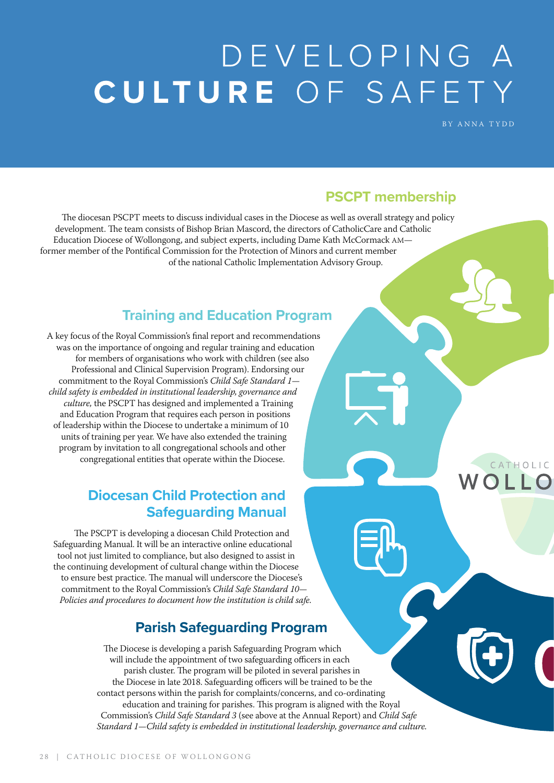# DEVELOPING A CULTURE OF SAFETY

BY ANNA TYDD

CATHOLIC

## **PSCPT membership**

The diocesan PSCPT meets to discuss individual cases in the Diocese as well as overall strategy and policy development. The team consists of Bishop Brian Mascord, the directors of CatholicCare and Catholic Education Diocese of Wollongong, and subject experts, including Dame Kath McCormack AM former member of the Pontifical Commission for the Protection of Minors and current member of the national Catholic Implementation Advisory Group.

# **Training and Education Program**

A key focus of the Royal Commission's final report and recommendations was on the importance of ongoing and regular training and education for members of organisations who work with children (see also Professional and Clinical Supervision Program). Endorsing our commitment to the Royal Commission's *Child Safe Standard 1 child safety is embedded in institutional leadership, governance and culture,* the PSCPT has designed and implemented a Training and Education Program that requires each person in positions of leadership within the Diocese to undertake a minimum of 10 units of training per year. We have also extended the training program by invitation to all congregational schools and other congregational entities that operate within the Diocese.

## **Diocesan Child Protection and Safeguarding Manual**

The PSCPT is developing a diocesan Child Protection and Safeguarding Manual. It will be an interactive online educational tool not just limited to compliance, but also designed to assist in the continuing development of cultural change within the Diocese to ensure best practice. The manual will underscore the Diocese's commitment to the Royal Commission's *Child Safe Standard 10— Policies and procedures to document how the institution is child safe.*

# **Parish Safeguarding Program**

The Diocese is developing a parish Safeguarding Program which will include the appointment of two safeguarding officers in each parish cluster. The program will be piloted in several parishes in the Diocese in late 2018. Safeguarding officers will be trained to be the contact persons within the parish for complaints/concerns, and co-ordinating education and training for parishes. This program is aligned with the Royal Commission's *Child Safe Standard 3* (see above at the Annual Report) and *Child Safe Standard 1—Child safety is embedded in institutional leadership, governance and culture.*